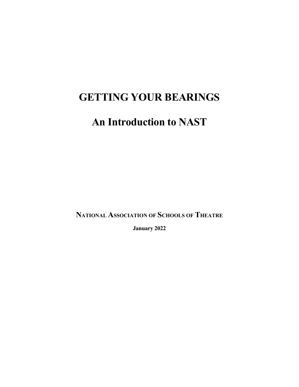# **GETTING YOUR BEARINGS**

# **An Introduction to NAST**

**NATIONAL ASSOCIATION OF SCHOOLS OF THEATRE**

**January 2022**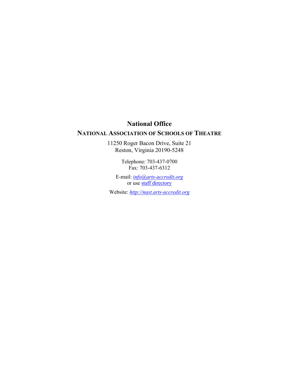# **National Office**

# **NATIONAL ASSOCIATION OF SCHOOLS OF THEATRE**

11250 Roger Bacon Drive, Suite 21 Reston, Virginia 20190-5248

> Telephone: 703-437-0700 Fax: 703-437-6312

E-mail: *info@arts-accredit.org* or use staff directory

Website: *http://nast.arts-accredit.org*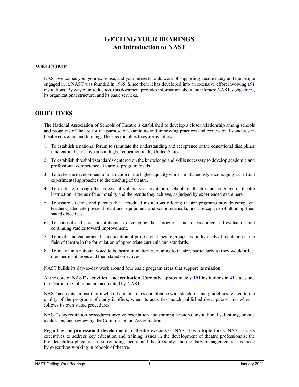# **GETTING YOUR BEARINGS An Introduction to NAST**

#### **WELCOME**

NAST welcomes you, your expertise, and your interests to its work of supporting theatre study and the people engaged in it. NAST was founded in 1965. Since then, it has developed into an extensive effort involving **191** institutions. By way of introduction, this document provides information about three topics: NAST's objectives, its organizational structure, and its basic services.

#### **OBJECTIVES**

The National Association of Schools of Theatre is established to develop a closer relationship among schools and programs of theatre for the purpose of examining and improving practices and professional standards in theatre education and training. The specific objectives are as follows:

- 1. To establish a national forum to stimulate the understanding and acceptance of the educational disciplines inherent in the creative arts in higher education in the United States.
- 2. To establish threshold standards centered on the knowledge and skills necessary to develop academic and professional competence at various program levels.
- 3. To foster the development of instruction of the highest quality while simultaneously encouraging varied and experimental approaches to the teaching of theatre.
- 4. To evaluate, through the process of voluntary accreditation, schools of theatre and programs of theatre instruction in terms of their quality and the results they achieve, as judged by experienced examiners.
- 5. To assure students and parents that accredited institutions offering theatre programs provide competent teachers, adequate physical plant and equipment, and sound curricula, and are capable of attaining their stated objectives.
- 6. To counsel and assist institutions in developing their programs and to encourage self-evaluation and continuing studies toward improvement.
- 7. To invite and encourage the cooperation of professional theatre groups and individuals of reputation in the field of theatre in the formulation of appropriate curricula and standards.
- 8. To maintain a national voice to be heard in matters pertaining to theatre, particularly as they would affect member institutions and their stated objectives.

NAST builds its day-to-day work around four basic program areas that support its mission.

At the core of NAST's activities is **accreditation**. Currently, approximately **191** institutions in **41** states and the District of Columbia are accredited by NAST.

NAST accredits an institution when it demonstrates compliance with standards and guidelines related to the quality of the programs of study it offers, when its activities match published descriptions, and when it follows its own stated procedures.

NAST's accreditation procedures involve orientation and training sessions, institutional self-study, on-site evaluation, and review by the Commission on Accreditation.

Regarding the **professional development** of theatre executives, NAST has a triple focus. NAST assists executives to address key education and training issues in the development of theatre professionals; the broader philosophical issues surrounding theatre and theatre study; and the daily management issues faced by executives working in schools of theatre.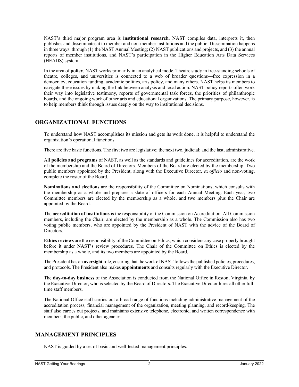NAST's third major program area is **institutional research**. NAST compiles data, interprets it, then publishes and disseminates it to member and non-member institutions and the public. Dissemination happens in three ways: through (1) the NAST Annual Meeting; (2) NAST publications and projects, and (3) the annual reports of member institutions, and NAST's participation in the Higher Education Arts Data Services (HEADS) system.

In the area of **policy**, NAST works primarily in an analytical mode. Theatre study in free-standing schools of theatre, colleges, and universities is connected to a web of broader questions—free expression in a democracy, education funding, academic politics, arts policy, and many others. NAST helps its members to navigate these issues by making the link between analysis and local action. NAST policy reports often work their way into legislative testimony, reports of governmental task forces, the priorities of philanthropic boards, and the ongoing work of other arts and educational organizations. The primary purpose, however, is to help members think through issues deeply on the way to institutional decisions.

## **ORGANIZATIONAL FUNCTIONS**

To understand how NAST accomplishes its mission and gets its work done, it is helpful to understand the organization's operational functions.

There are five basic functions. The first two are legislative; the next two, judicial; and the last, administrative.

All **policies and programs** of NAST, as well as the standards and guidelines for accreditation, are the work of the membership and the Board of Directors. Members of the Board are elected by the membership. Two public members appointed by the President, along with the Executive Director, *ex officio* and non-voting, complete the roster of the Board.

**Nominations and elections** are the responsibility of the Committee on Nominations, which consults with the membership as a whole and prepares a slate of officers for each Annual Meeting. Each year, two Committee members are elected by the membership as a whole, and two members plus the Chair are appointed by the Board.

The **accreditation of institutions** is the responsibility of the Commission on Accreditation. All Commission members, including the Chair, are elected by the membership as a whole. The Commission also has two voting public members, who are appointed by the President of NAST with the advice of the Board of Directors.

**Ethics reviews** are the responsibility of the Committee on Ethics, which considers any case properly brought before it under NAST's review procedures. The Chair of the Committee on Ethics is elected by the membership as a whole, and its two members are appointed by the Board.

The President has an **oversight** role, ensuring that the work of NAST follows the published policies, procedures, and protocols. The President also makes **appointments** and consults regularly with the Executive Director.

The **day-to-day business** of the Association is conducted from the National Office in Reston, Virginia, by the Executive Director, who is selected by the Board of Directors. The Executive Director hires all other fulltime staff members.

The National Office staff carries out a broad range of functions including administrative management of the accreditation process, financial management of the organization, meeting planning, and record-keeping. The staff also carries out projects, and maintains extensive telephone, electronic, and written correspondence with members, the public, and other agencies.

# **MANAGEMENT PRINCIPLES**

NAST is guided by a set of basic and well-tested management principles.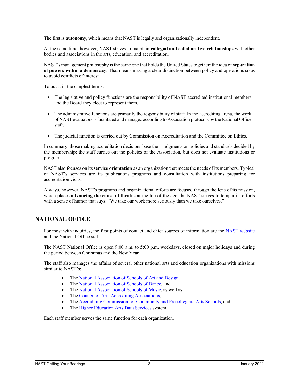The first is **autonomy**, which means that NAST is legally and organizationally independent.

At the same time, however, NAST strives to maintain **collegial and collaborative relationships** with other bodies and associations in the arts, education, and accreditation.

NAST's management philosophy is the same one that holds the United States together: the idea of **separation of powers within a democracy**. That means making a clear distinction between policy and operations so as to avoid conflicts of interest.

To put it in the simplest terms:

- The legislative and policy functions are the responsibility of NAST accredited institutional members and the Board they elect to represent them.
- The administrative functions are primarily the responsibility of staff. In the accrediting arena, the work of NAST evaluators is facilitated and managed according to Association protocols by the National Office staff.
- The judicial function is carried out by Commission on Accreditation and the Committee on Ethics.

In summary, those making accreditation decisions base their judgments on policies and standards decided by the membership; the staff carries out the policies of the Association, but does not evaluate institutions or programs.

NAST also focuses on its **service orientation** as an organization that meets the needs of its members. Typical of NAST's services are its publications programs and consultation with institutions preparing for accreditation visits.

Always, however, NAST's programs and organizational efforts are focused through the lens of its mission, which places **advancing the cause of theatre** at the top of the agenda. NAST strives to temper its efforts with a sense of humor that says: "We take our work more seriously than we take ourselves."

## **NATIONAL OFFICE**

For most with inquiries, the first points of contact and chief sources of information are the NAST website and the National Office staff.

The NAST National Office is open 9:00 a.m. to 5:00 p.m. weekdays, closed on major holidays and during the period between Christmas and the New Year.

The staff also manages the affairs of several other national arts and education organizations with missions similar to NAST's:

- The National Association of Schools of Art and Design,
- The National Association of Schools of Dance, and
- The National Association of Schools of Music, as well as
- The Council of Arts Accrediting Associations,
- The Accrediting Commission for Community and Precollegiate Arts Schools, and
- The Higher Education Arts Data Services system.

Each staff member serves the same function for each organization.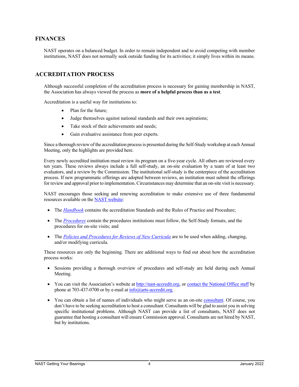#### **FINANCES**

NAST operates on a balanced budget. In order to remain independent and to avoid competing with member institutions, NAST does not normally seek outside funding for its activities; it simply lives within its means.

#### **ACCREDITATION PROCESS**

Although successful completion of the accreditation process is necessary for gaining membership in NAST, the Association has always viewed the process as **more of a helpful process than as a test**.

Accreditation is a useful way for institutions to:

- Plan for the future;
- Judge themselves against national standards and their own aspirations;
- Take stock of their achievements and needs;
- Gain evaluative assistance from peer experts.

Since a thorough review of the accreditation process is presented during the Self-Study workshop at each Annual Meeting, only the highlights are provided here.

Every newly accredited institution must review its program on a five-year cycle. All others are reviewed every ten years. These reviews always include a full self-study, an on-site evaluation by a team of at least two evaluators, and a review by the Commission. The institutional self-study is the centerpiece of the accreditation process. If new programmatic offerings are adopted between reviews, an institution must submit the offerings for review and approval prior to implementation. Circumstances may determine that an on-site visit is necessary.

NAST encourages those seeking and renewing accreditation to make extensive use of three fundamental resources available on the NAST website:

- The *Handbook* contains the accreditation Standards and the Rules of Practice and Procedure;
- The *Procedures* contain the procedures institutions must follow, the Self-Study formats, and the procedures for on-site visits; and
- The *Policies and Procedures for Reviews of New Curricula* are to be used when adding, changing, and/or modifying curricula.

These resources are only the beginning. There are additional ways to find out about how the accreditation process works:

- Sessions providing a thorough overview of procedures and self-study are held during each Annual Meeting.
- You can visit the Association's website at http://nast-accredit.org, or contact the National Office staff by phone at 703-437-0700 or by e-mail at  $\frac{info(@arts-accredit.org)}{info(@arts-accredit.org)}$ .
- You can obtain a list of names of individuals who might serve as an on-site consultant. Of course, you don't have to be seeking accreditation to host a consultant. Consultants will be glad to assist you in solving specific institutional problems. Although NAST can provide a list of consultants, NAST does not guarantee that hosting a consultant will ensure Commission approval. Consultants are not hired by NAST, but by institutions.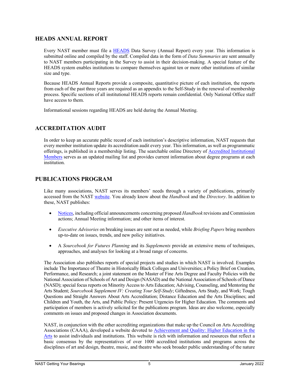#### **HEADS ANNUAL REPORT**

Every NAST member must file a HEADS Data Survey (Annual Report) every year. This information is submitted online and compiled by the staff. Compiled data in the form of *Data Summaries* are sent annually to NAST members participating in the Survey to assist in their decision-making. A special feature of the HEADS system enables institutions to compare themselves against ten or more other institutions of similar size and type.

Because HEADS Annual Reports provide a composite, quantitative picture of each institution, the reports from each of the past three years are required as an appendix to the Self-Study in the renewal of membership process. Specific sections of all institutional HEADS reports remain confidential. Only National Office staff have access to them.

Informational sessions regarding HEADS are held during the Annual Meeting.

## **ACCREDITATION AUDIT**

In order to keep an accurate public record of each institution's descriptive information, NAST requests that every member institution update its accreditation audit every year. This information, as well as programmatic offerings, is published in a membership listing. The searchable online Directory of Accredited Institutional Members serves as an updated mailing list and provides current information about degree programs at each institution.

### **PUBLICATIONS PROGRAM**

Like many associations, NAST serves its members' needs through a variety of publications, primarily accessed from the NAST website. You already know about the *Handbook* and the *Directory*. In addition to these, NAST publishes:

- Notices, including official announcements concerning proposed *Handbook* revisions and Commission actions; Annual Meeting information; and other items of interest.
- *Executive Advisories* on breaking issues are sent out as needed, while *Briefing Papers* bring members up-to-date on issues, trends, and new policy initiatives.
- A *Sourcebook for Futures Planning* and its *Supplements* provide an extensive menu of techniques, approaches, and analyses for looking at a broad range of concerns.

The Association also publishes reports of special projects and studies in which NAST is involved. Examples include The Importance of Theatre in Historically Black Colleges and Universities; a Policy Brief on Creation, Performance, and Research; a joint statement on the Master of Fine Arts Degree and Faculty Policies with the National Association of Schools of Art and Design (NASAD) and the National Association of Schools of Dance (NASD); special focus reports on Minority Access to Arts Education; Advising, Counseling, and Mentoring the Arts Student; *Sourcebook Supplement IV: Creating Your Self-Study*; Giftedness, Arts Study, and Work; Tough Questions and Straight Answers About Arts Accreditation; Distance Education and the Arts Disciplines; and Children and Youth, the Arts, and Public Policy: Present Urgencies for Higher Education. The comments and participation of members is actively solicited for the publications program. Ideas are also welcome, especially comments on issues and proposed changes in Association documents.

NAST, in conjunction with the other accrediting organizations that make up the Council on Arts Accrediting Associations (CAAA), developed a website devoted to Achievement and Quality: Higher Education in the Arts to assist individuals and institutions. This website is rich with information and resources that reflect a basic consensus by the representatives of over 1000 accredited institutions and programs across the disciplines of art and design, theatre, music, and theatre who seek broader public understanding of the nature